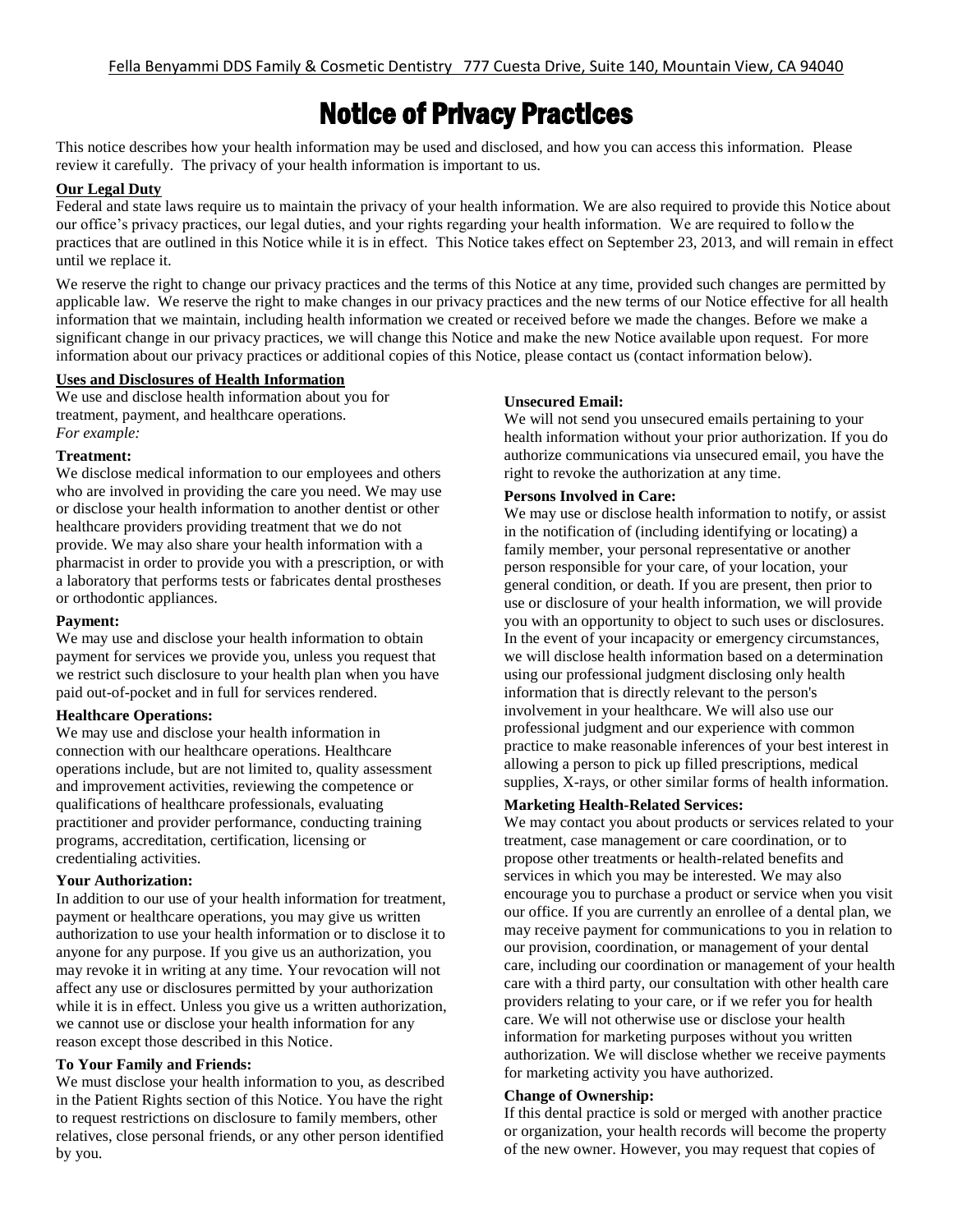# Notice of Privacy Practices

This notice describes how your health information may be used and disclosed, and how you can access this information. Please review it carefully. The privacy of your health information is important to us.

# **Our Legal Duty**

Federal and state laws require us to maintain the privacy of your health information. We are also required to provide this Notice about our office's privacy practices, our legal duties, and your rights regarding your health information. We are required to follow the practices that are outlined in this Notice while it is in effect. This Notice takes effect on September 23, 2013, and will remain in effect until we replace it.

We reserve the right to change our privacy practices and the terms of this Notice at any time, provided such changes are permitted by applicable law. We reserve the right to make changes in our privacy practices and the new terms of our Notice effective for all health information that we maintain, including health information we created or received before we made the changes. Before we make a significant change in our privacy practices, we will change this Notice and make the new Notice available upon request. For more information about our privacy practices or additional copies of this Notice, please contact us (contact information below).

# **Uses and Disclosures of Health Information**

We use and disclose health information about you for treatment, payment, and healthcare operations. *For example:*

#### **Treatment:**

We disclose medical information to our employees and others who are involved in providing the care you need. We may use or disclose your health information to another dentist or other healthcare providers providing treatment that we do not provide. We may also share your health information with a pharmacist in order to provide you with a prescription, or with a laboratory that performs tests or fabricates dental prostheses or orthodontic appliances.

### **Payment:**

We may use and disclose your health information to obtain payment for services we provide you, unless you request that we restrict such disclosure to your health plan when you have paid out-of-pocket and in full for services rendered.

### **Healthcare Operations:**

We may use and disclose your health information in connection with our healthcare operations. Healthcare operations include, but are not limited to, quality assessment and improvement activities, reviewing the competence or qualifications of healthcare professionals, evaluating practitioner and provider performance, conducting training programs, accreditation, certification, licensing or credentialing activities.

### **Your Authorization:**

In addition to our use of your health information for treatment, payment or healthcare operations, you may give us written authorization to use your health information or to disclose it to anyone for any purpose. If you give us an authorization, you may revoke it in writing at any time. Your revocation will not affect any use or disclosures permitted by your authorization while it is in effect. Unless you give us a written authorization, we cannot use or disclose your health information for any reason except those described in this Notice.

### **To Your Family and Friends:**

We must disclose your health information to you, as described in the Patient Rights section of this Notice. You have the right to request restrictions on disclosure to family members, other relatives, close personal friends, or any other person identified by you.

#### **Unsecured Email:**

We will not send you unsecured emails pertaining to your health information without your prior authorization. If you do authorize communications via unsecured email, you have the right to revoke the authorization at any time.

### **Persons Involved in Care:**

We may use or disclose health information to notify, or assist in the notification of (including identifying or locating) a family member, your personal representative or another person responsible for your care, of your location, your general condition, or death. If you are present, then prior to use or disclosure of your health information, we will provide you with an opportunity to object to such uses or disclosures. In the event of your incapacity or emergency circumstances, we will disclose health information based on a determination using our professional judgment disclosing only health information that is directly relevant to the person's involvement in your healthcare. We will also use our professional judgment and our experience with common practice to make reasonable inferences of your best interest in allowing a person to pick up filled prescriptions, medical supplies, X-rays, or other similar forms of health information.

### **Marketing Health-Related Services:**

We may contact you about products or services related to your treatment, case management or care coordination, or to propose other treatments or health-related benefits and services in which you may be interested. We may also encourage you to purchase a product or service when you visit our office. If you are currently an enrollee of a dental plan, we may receive payment for communications to you in relation to our provision, coordination, or management of your dental care, including our coordination or management of your health care with a third party, our consultation with other health care providers relating to your care, or if we refer you for health care. We will not otherwise use or disclose your health information for marketing purposes without you written authorization. We will disclose whether we receive payments for marketing activity you have authorized.

### **Change of Ownership:**

If this dental practice is sold or merged with another practice or organization, your health records will become the property of the new owner. However, you may request that copies of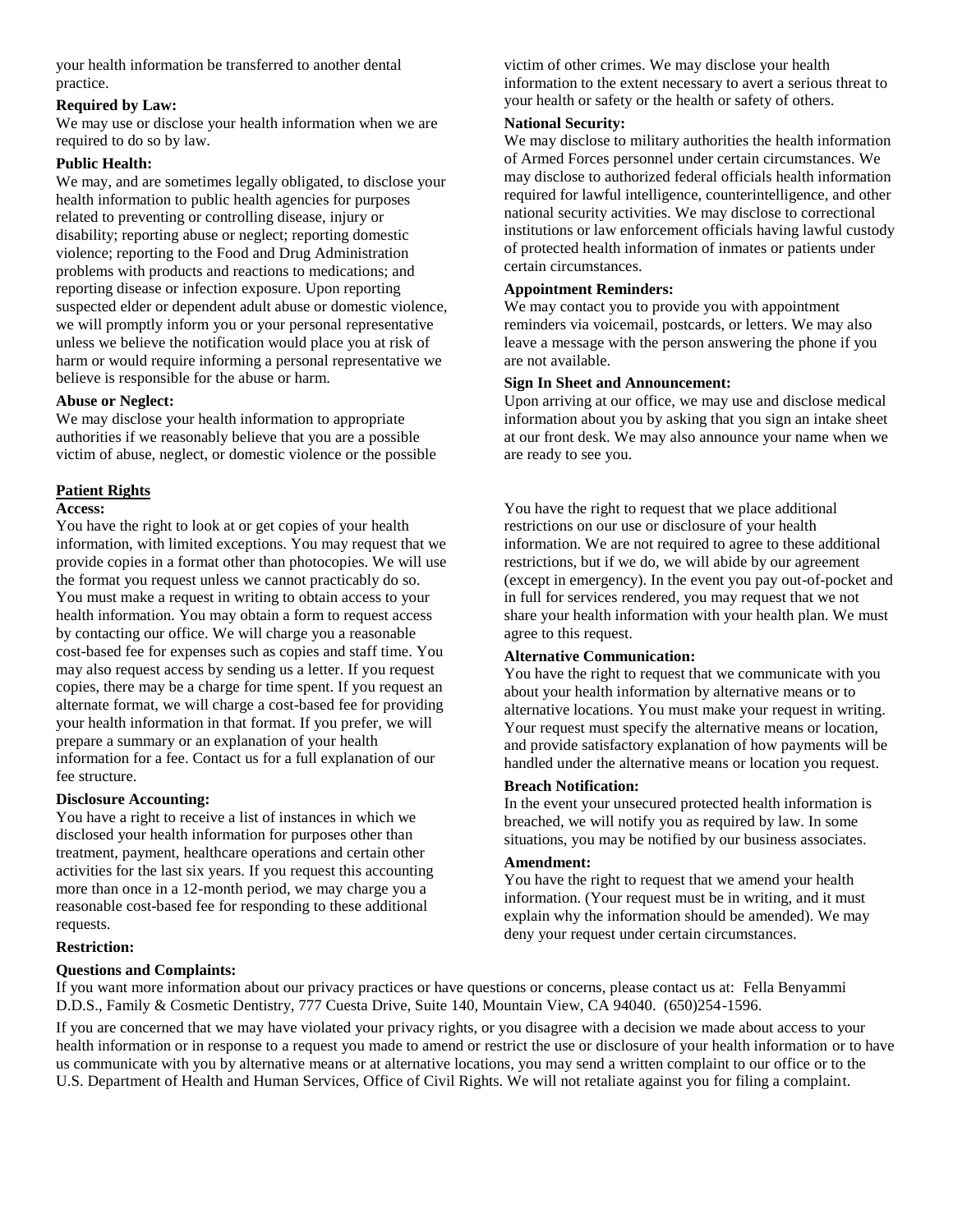your health information be transferred to another dental practice.

# **Required by Law:**

We may use or disclose your health information when we are required to do so by law.

# **Public Health:**

We may, and are sometimes legally obligated, to disclose your health information to public health agencies for purposes related to preventing or controlling disease, injury or disability; reporting abuse or neglect; reporting domestic violence; reporting to the Food and Drug Administration problems with products and reactions to medications; and reporting disease or infection exposure. Upon reporting suspected elder or dependent adult abuse or domestic violence, we will promptly inform you or your personal representative unless we believe the notification would place you at risk of harm or would require informing a personal representative we believe is responsible for the abuse or harm.

# **Abuse or Neglect:**

We may disclose your health information to appropriate authorities if we reasonably believe that you are a possible victim of abuse, neglect, or domestic violence or the possible

# **Patient Rights**

### **Access:**

You have the right to look at or get copies of your health information, with limited exceptions. You may request that we provide copies in a format other than photocopies. We will use the format you request unless we cannot practicably do so. You must make a request in writing to obtain access to your health information. You may obtain a form to request access by contacting our office. We will charge you a reasonable cost-based fee for expenses such as copies and staff time. You may also request access by sending us a letter. If you request copies, there may be a charge for time spent. If you request an alternate format, we will charge a cost-based fee for providing your health information in that format. If you prefer, we will prepare a summary or an explanation of your health information for a fee. Contact us for a full explanation of our fee structure.

# **Disclosure Accounting:**

You have a right to receive a list of instances in which we disclosed your health information for purposes other than treatment, payment, healthcare operations and certain other activities for the last six years. If you request this accounting more than once in a 12-month period, we may charge you a reasonable cost-based fee for responding to these additional requests.

# **Restriction:**

# **Questions and Complaints:**

victim of other crimes. We may disclose your health information to the extent necessary to avert a serious threat to your health or safety or the health or safety of others.

# **National Security:**

We may disclose to military authorities the health information of Armed Forces personnel under certain circumstances. We may disclose to authorized federal officials health information required for lawful intelligence, counterintelligence, and other national security activities. We may disclose to correctional institutions or law enforcement officials having lawful custody of protected health information of inmates or patients under certain circumstances.

### **Appointment Reminders:**

We may contact you to provide you with appointment reminders via voicemail, postcards, or letters. We may also leave a message with the person answering the phone if you are not available.

# **Sign In Sheet and Announcement:**

Upon arriving at our office, we may use and disclose medical information about you by asking that you sign an intake sheet at our front desk. We may also announce your name when we are ready to see you.

You have the right to request that we place additional restrictions on our use or disclosure of your health information. We are not required to agree to these additional restrictions, but if we do, we will abide by our agreement (except in emergency). In the event you pay out-of-pocket and in full for services rendered, you may request that we not share your health information with your health plan. We must agree to this request.

### **Alternative Communication:**

You have the right to request that we communicate with you about your health information by alternative means or to alternative locations. You must make your request in writing. Your request must specify the alternative means or location, and provide satisfactory explanation of how payments will be handled under the alternative means or location you request.

### **Breach Notification:**

In the event your unsecured protected health information is breached, we will notify you as required by law. In some situations, you may be notified by our business associates.

# **Amendment:**

You have the right to request that we amend your health information. (Your request must be in writing, and it must explain why the information should be amended). We may deny your request under certain circumstances.

If you want more information about our privacy practices or have questions or concerns, please contact us at: Fella Benyammi D.D.S., Family & Cosmetic Dentistry, 777 Cuesta Drive, Suite 140, Mountain View, CA 94040. (650)254-1596.

If you are concerned that we may have violated your privacy rights, or you disagree with a decision we made about access to your health information or in response to a request you made to amend or restrict the use or disclosure of your health information or to have us communicate with you by alternative means or at alternative locations, you may send a written complaint to our office or to the U.S. Department of Health and Human Services, Office of Civil Rights. We will not retaliate against you for filing a complaint.